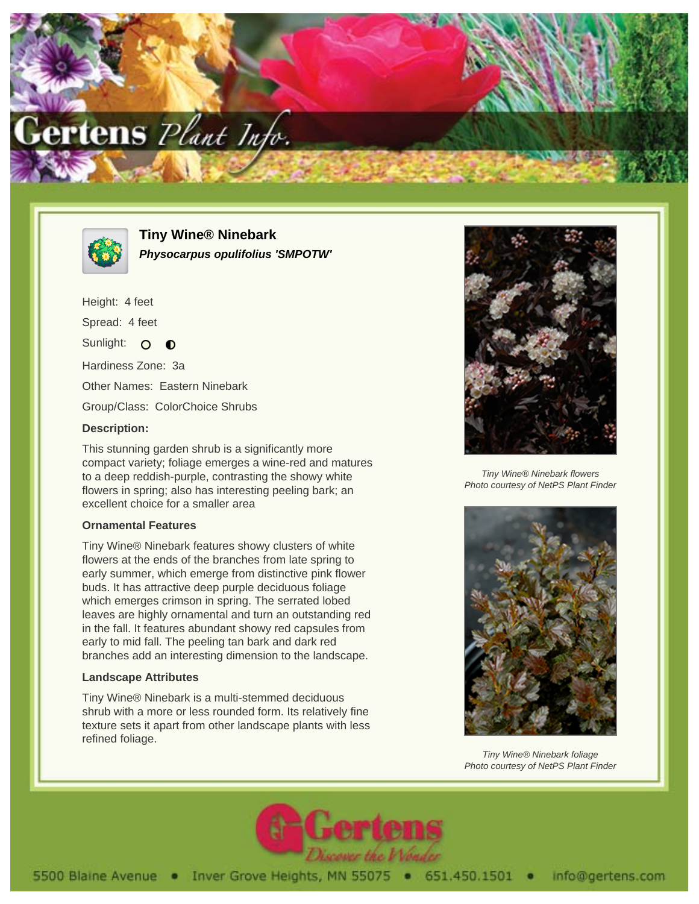



**Tiny Wine® Ninebark Physocarpus opulifolius 'SMPOTW'**

Height: 4 feet Spread: 4 feet Sunlight: O  $\bullet$ Hardiness Zone: 3a Other Names: Eastern Ninebark Group/Class: ColorChoice Shrubs

## **Description:**

This stunning garden shrub is a significantly more compact variety; foliage emerges a wine-red and matures to a deep reddish-purple, contrasting the showy white flowers in spring; also has interesting peeling bark; an excellent choice for a smaller area

## **Ornamental Features**

Tiny Wine® Ninebark features showy clusters of white flowers at the ends of the branches from late spring to early summer, which emerge from distinctive pink flower buds. It has attractive deep purple deciduous foliage which emerges crimson in spring. The serrated lobed leaves are highly ornamental and turn an outstanding red in the fall. It features abundant showy red capsules from early to mid fall. The peeling tan bark and dark red branches add an interesting dimension to the landscape.

## **Landscape Attributes**

Tiny Wine® Ninebark is a multi-stemmed deciduous shrub with a more or less rounded form. Its relatively fine texture sets it apart from other landscape plants with less refined foliage.



Tiny Wine® Ninebark flowers Photo courtesy of NetPS Plant Finder



Tiny Wine® Ninebark foliage Photo courtesy of NetPS Plant Finder